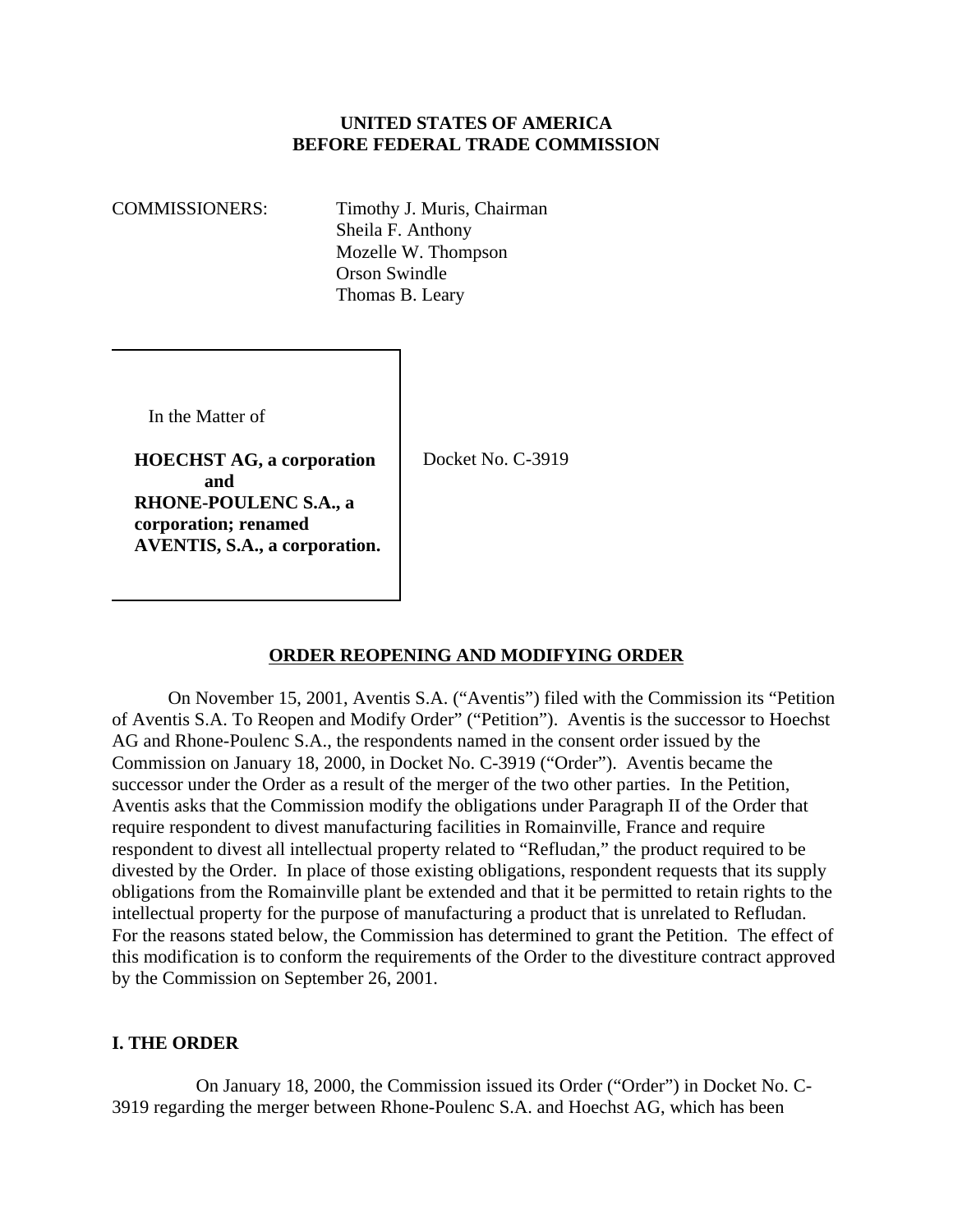# **UNITED STATES OF AMERICA BEFORE FEDERAL TRADE COMMISSION**

COMMISSIONERS: Timothy J. Muris, Chairman Sheila F. Anthony Mozelle W. Thompson Orson Swindle Thomas B. Leary

In the Matter of

Docket No. C-3919

**HOECHST AG, a corporation and RHONE-POULENC S.A., a corporation; renamed AVENTIS, S.A., a corporation.** 

# **ORDER REOPENING AND MODIFYING ORDER**

On November 15, 2001, Aventis S.A. ("Aventis") filed with the Commission its "Petition of Aventis S.A. To Reopen and Modify Order" ("Petition"). Aventis is the successor to Hoechst AG and Rhone-Poulenc S.A., the respondents named in the consent order issued by the Commission on January 18, 2000, in Docket No. C-3919 ("Order"). Aventis became the successor under the Order as a result of the merger of the two other parties. In the Petition, Aventis asks that the Commission modify the obligations under Paragraph II of the Order that require respondent to divest manufacturing facilities in Romainville, France and require respondent to divest all intellectual property related to "Refludan," the product required to be divested by the Order. In place of those existing obligations, respondent requests that its supply obligations from the Romainville plant be extended and that it be permitted to retain rights to the intellectual property for the purpose of manufacturing a product that is unrelated to Refludan. For the reasons stated below, the Commission has determined to grant the Petition. The effect of this modification is to conform the requirements of the Order to the divestiture contract approved by the Commission on September 26, 2001.

### **I. THE ORDER**

On January 18, 2000, the Commission issued its Order ("Order") in Docket No. C-3919 regarding the merger between Rhone-Poulenc S.A. and Hoechst AG, which has been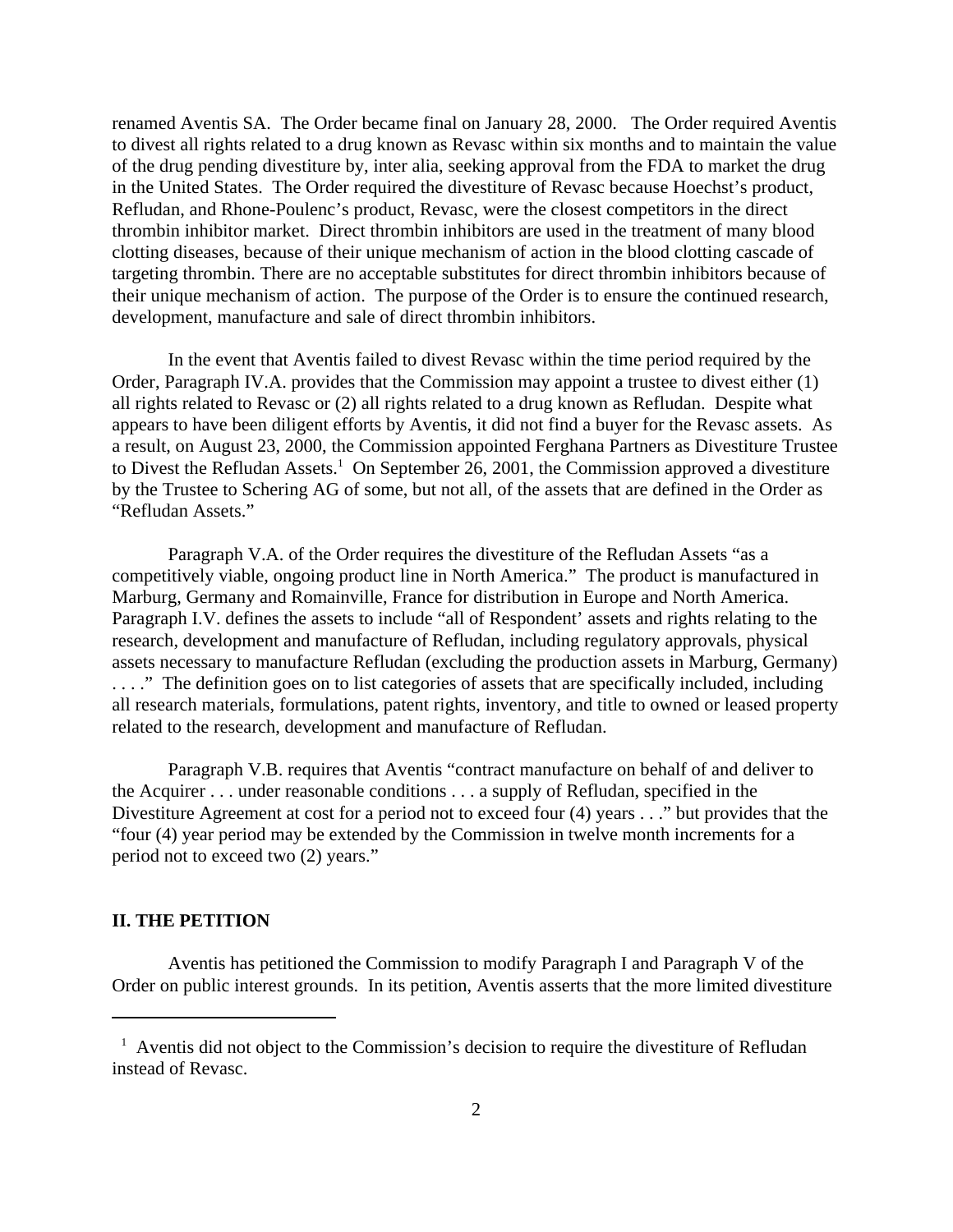renamed Aventis SA. The Order became final on January 28, 2000. The Order required Aventis to divest all rights related to a drug known as Revasc within six months and to maintain the value of the drug pending divestiture by, inter alia, seeking approval from the FDA to market the drug in the United States. The Order required the divestiture of Revasc because Hoechst's product, Refludan, and Rhone-Poulenc's product, Revasc, were the closest competitors in the direct thrombin inhibitor market. Direct thrombin inhibitors are used in the treatment of many blood clotting diseases, because of their unique mechanism of action in the blood clotting cascade of targeting thrombin. There are no acceptable substitutes for direct thrombin inhibitors because of their unique mechanism of action. The purpose of the Order is to ensure the continued research, development, manufacture and sale of direct thrombin inhibitors.

In the event that Aventis failed to divest Revasc within the time period required by the Order, Paragraph IV.A. provides that the Commission may appoint a trustee to divest either (1) all rights related to Revasc or (2) all rights related to a drug known as Refludan. Despite what appears to have been diligent efforts by Aventis, it did not find a buyer for the Revasc assets. As a result, on August 23, 2000, the Commission appointed Ferghana Partners as Divestiture Trustee to Divest the Refludan Assets.<sup>1</sup> On September 26, 2001, the Commission approved a divestiture by the Trustee to Schering AG of some, but not all, of the assets that are defined in the Order as "Refludan Assets."

Paragraph V.A. of the Order requires the divestiture of the Refludan Assets "as a competitively viable, ongoing product line in North America." The product is manufactured in Marburg, Germany and Romainville, France for distribution in Europe and North America. Paragraph I.V. defines the assets to include "all of Respondent' assets and rights relating to the research, development and manufacture of Refludan, including regulatory approvals, physical assets necessary to manufacture Refludan (excluding the production assets in Marburg, Germany) . . . ." The definition goes on to list categories of assets that are specifically included, including all research materials, formulations, patent rights, inventory, and title to owned or leased property related to the research, development and manufacture of Refludan.

Paragraph V.B. requires that Aventis "contract manufacture on behalf of and deliver to the Acquirer . . . under reasonable conditions . . . a supply of Refludan, specified in the Divestiture Agreement at cost for a period not to exceed four (4) years . . ." but provides that the "four (4) year period may be extended by the Commission in twelve month increments for a period not to exceed two (2) years."

#### **II. THE PETITION**

Aventis has petitioned the Commission to modify Paragraph I and Paragraph V of the Order on public interest grounds. In its petition, Aventis asserts that the more limited divestiture

<sup>&</sup>lt;sup>1</sup> Aventis did not object to the Commission's decision to require the divestiture of Refludan instead of Revasc.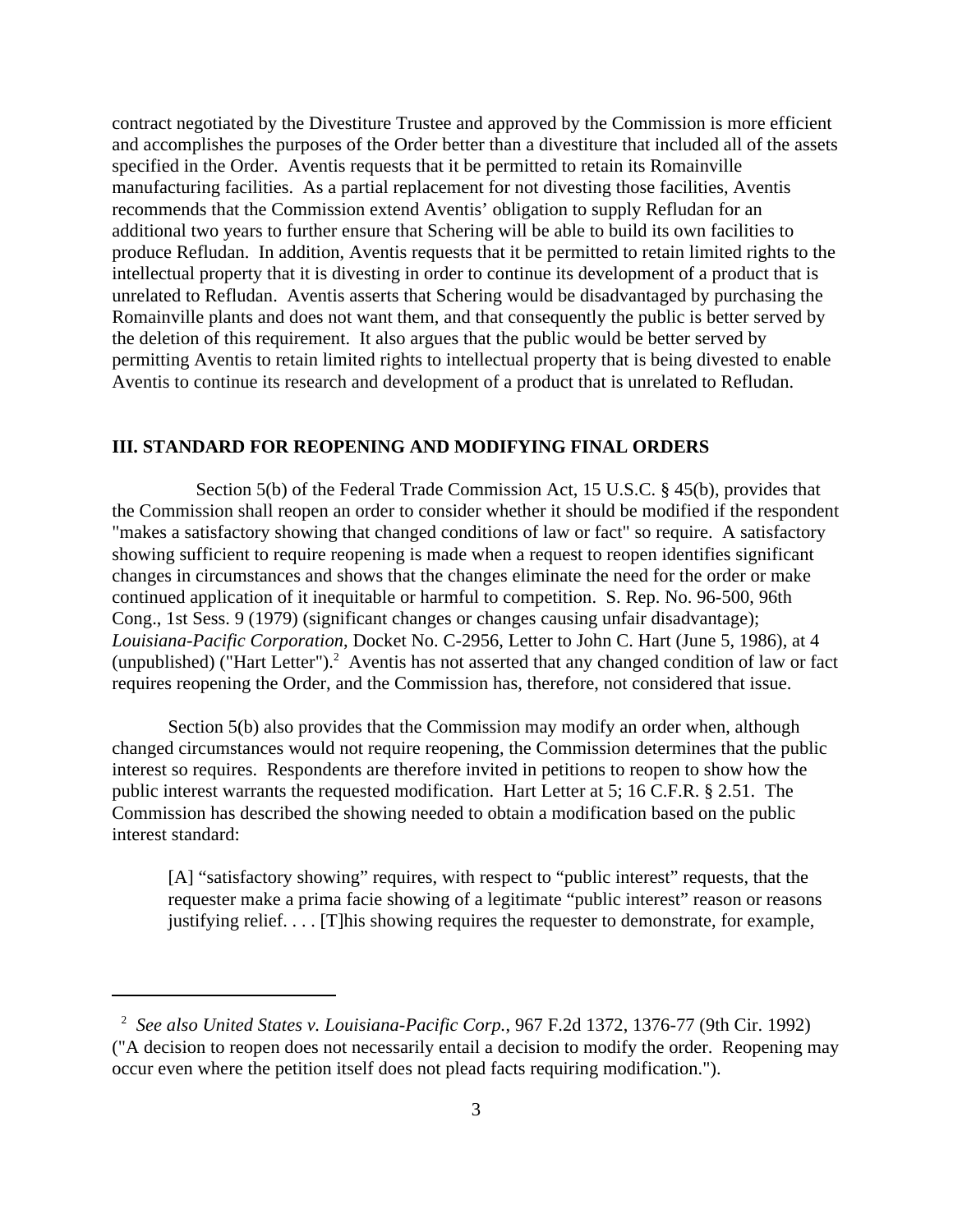contract negotiated by the Divestiture Trustee and approved by the Commission is more efficient and accomplishes the purposes of the Order better than a divestiture that included all of the assets specified in the Order. Aventis requests that it be permitted to retain its Romainville manufacturing facilities. As a partial replacement for not divesting those facilities, Aventis recommends that the Commission extend Aventis' obligation to supply Refludan for an additional two years to further ensure that Schering will be able to build its own facilities to produce Refludan. In addition, Aventis requests that it be permitted to retain limited rights to the intellectual property that it is divesting in order to continue its development of a product that is unrelated to Refludan. Aventis asserts that Schering would be disadvantaged by purchasing the Romainville plants and does not want them, and that consequently the public is better served by the deletion of this requirement. It also argues that the public would be better served by permitting Aventis to retain limited rights to intellectual property that is being divested to enable Aventis to continue its research and development of a product that is unrelated to Refludan.

## **III. STANDARD FOR REOPENING AND MODIFYING FINAL ORDERS**

Section 5(b) of the Federal Trade Commission Act, 15 U.S.C. § 45(b), provides that the Commission shall reopen an order to consider whether it should be modified if the respondent "makes a satisfactory showing that changed conditions of law or fact" so require. A satisfactory showing sufficient to require reopening is made when a request to reopen identifies significant changes in circumstances and shows that the changes eliminate the need for the order or make continued application of it inequitable or harmful to competition. S. Rep. No. 96-500, 96th Cong., 1st Sess. 9 (1979) (significant changes or changes causing unfair disadvantage); *Louisiana-Pacific Corporation*, Docket No. C-2956, Letter to John C. Hart (June 5, 1986), at 4 (unpublished) ("Hart Letter"). $^2$  Aventis has not asserted that any changed condition of law or fact requires reopening the Order, and the Commission has, therefore, not considered that issue.

Section 5(b) also provides that the Commission may modify an order when, although changed circumstances would not require reopening, the Commission determines that the public interest so requires. Respondents are therefore invited in petitions to reopen to show how the public interest warrants the requested modification. Hart Letter at 5; 16 C.F.R. § 2.51. The Commission has described the showing needed to obtain a modification based on the public interest standard:

[A] "satisfactory showing" requires, with respect to "public interest" requests, that the requester make a prima facie showing of a legitimate "public interest" reason or reasons justifying relief. . . . [T]his showing requires the requester to demonstrate, for example,

<sup>2</sup> *See also United States v. Louisiana-Pacific Corp.*, 967 F.2d 1372, 1376-77 (9th Cir. 1992) ("A decision to reopen does not necessarily entail a decision to modify the order. Reopening may occur even where the petition itself does not plead facts requiring modification.").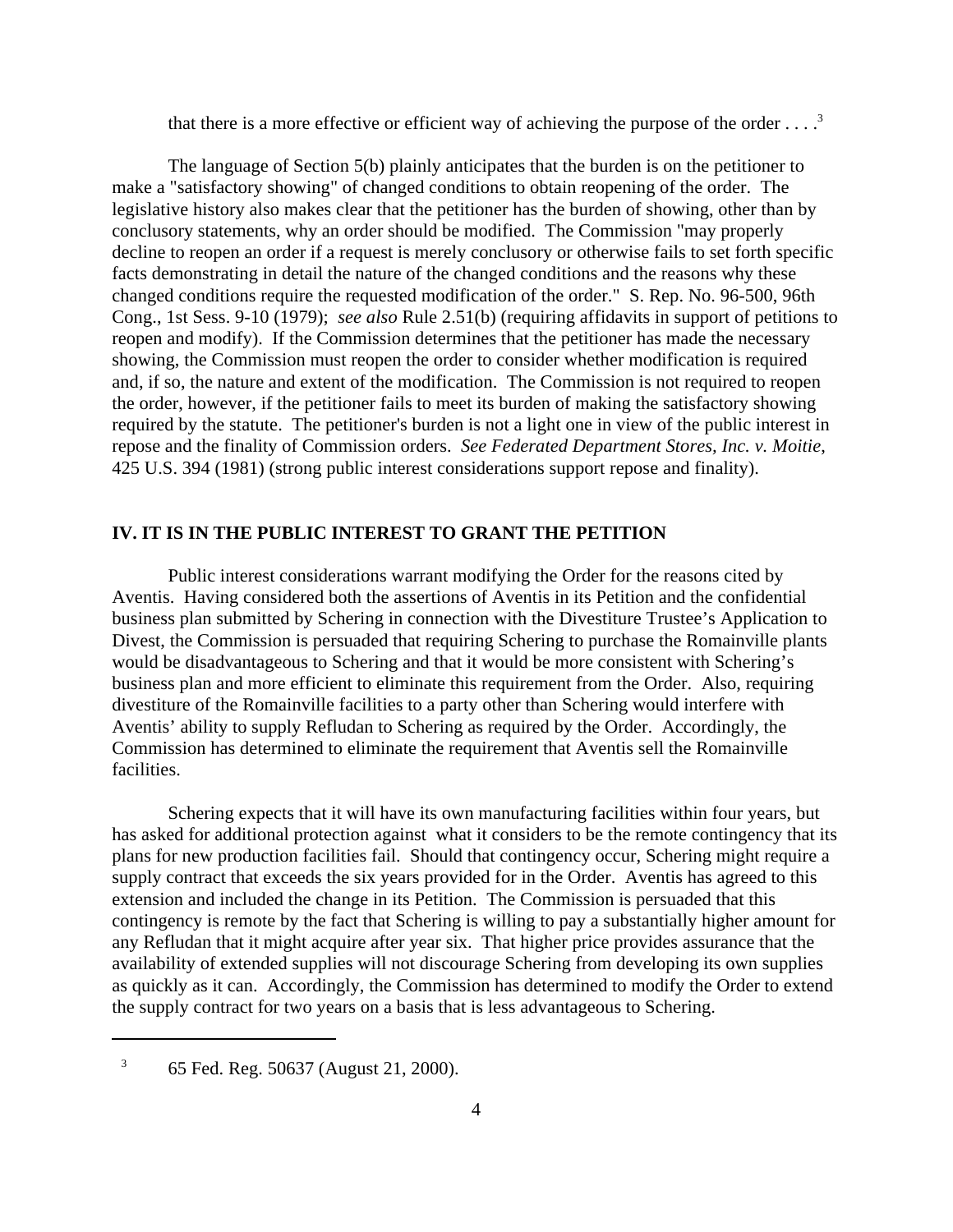that there is a more effective or efficient way of achieving the purpose of the order  $\dots$ <sup>3</sup>

The language of Section 5(b) plainly anticipates that the burden is on the petitioner to make a "satisfactory showing" of changed conditions to obtain reopening of the order. The legislative history also makes clear that the petitioner has the burden of showing, other than by conclusory statements, why an order should be modified. The Commission "may properly decline to reopen an order if a request is merely conclusory or otherwise fails to set forth specific facts demonstrating in detail the nature of the changed conditions and the reasons why these changed conditions require the requested modification of the order." S. Rep. No. 96-500, 96th Cong., 1st Sess. 9-10 (1979); *see also* Rule 2.51(b) (requiring affidavits in support of petitions to reopen and modify). If the Commission determines that the petitioner has made the necessary showing, the Commission must reopen the order to consider whether modification is required and, if so, the nature and extent of the modification. The Commission is not required to reopen the order, however, if the petitioner fails to meet its burden of making the satisfactory showing required by the statute. The petitioner's burden is not a light one in view of the public interest in repose and the finality of Commission orders. *See Federated Department Stores, Inc. v. Moitie*, 425 U.S. 394 (1981) (strong public interest considerations support repose and finality).

## **IV. IT IS IN THE PUBLIC INTEREST TO GRANT THE PETITION**

Public interest considerations warrant modifying the Order for the reasons cited by Aventis. Having considered both the assertions of Aventis in its Petition and the confidential business plan submitted by Schering in connection with the Divestiture Trustee's Application to Divest, the Commission is persuaded that requiring Schering to purchase the Romainville plants would be disadvantageous to Schering and that it would be more consistent with Schering's business plan and more efficient to eliminate this requirement from the Order. Also, requiring divestiture of the Romainville facilities to a party other than Schering would interfere with Aventis' ability to supply Refludan to Schering as required by the Order. Accordingly, the Commission has determined to eliminate the requirement that Aventis sell the Romainville facilities.

Schering expects that it will have its own manufacturing facilities within four years, but has asked for additional protection against what it considers to be the remote contingency that its plans for new production facilities fail. Should that contingency occur, Schering might require a supply contract that exceeds the six years provided for in the Order. Aventis has agreed to this extension and included the change in its Petition. The Commission is persuaded that this contingency is remote by the fact that Schering is willing to pay a substantially higher amount for any Refludan that it might acquire after year six. That higher price provides assurance that the availability of extended supplies will not discourage Schering from developing its own supplies as quickly as it can. Accordingly, the Commission has determined to modify the Order to extend the supply contract for two years on a basis that is less advantageous to Schering.

<sup>3</sup> 65 Fed. Reg. 50637 (August 21, 2000).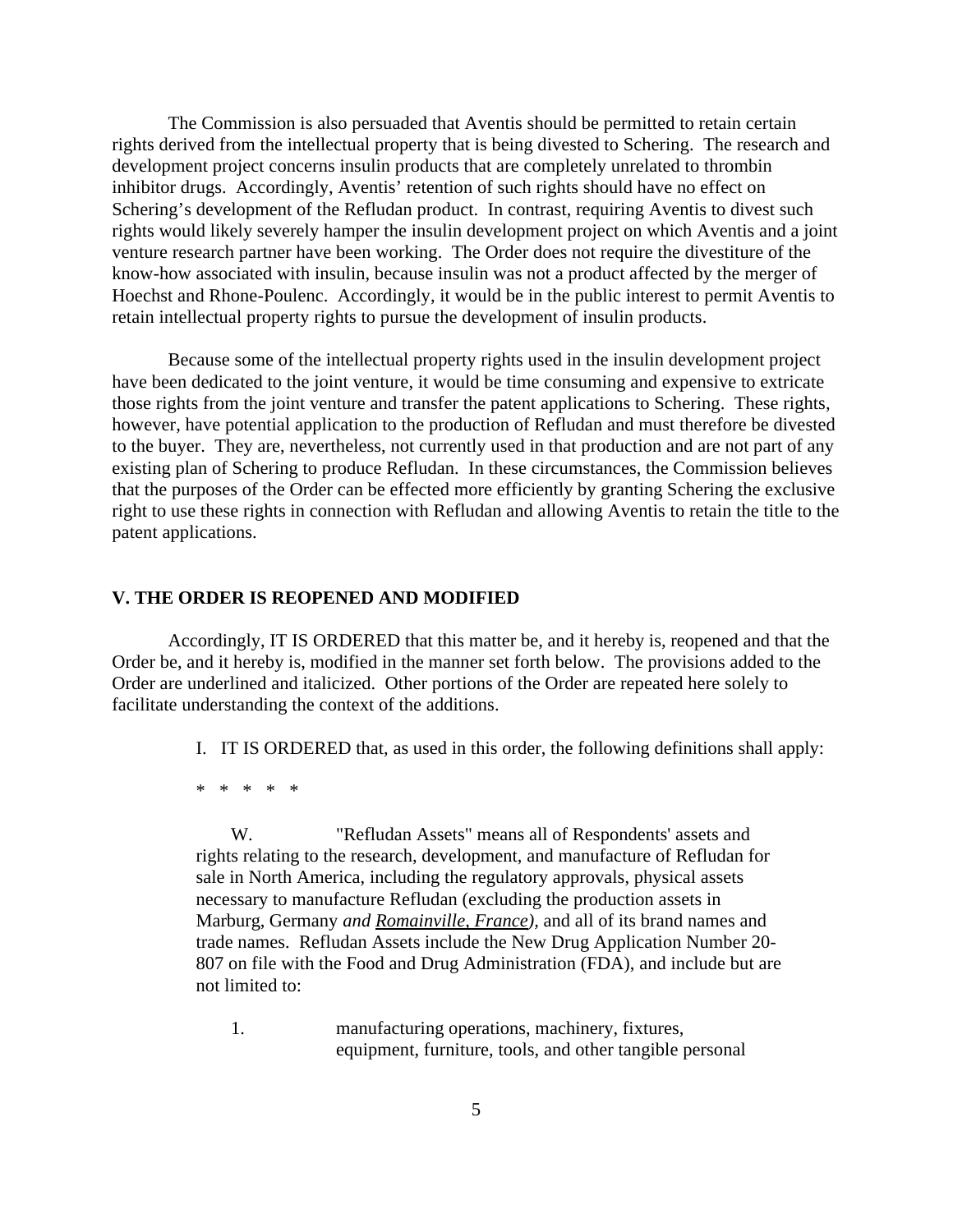The Commission is also persuaded that Aventis should be permitted to retain certain rights derived from the intellectual property that is being divested to Schering. The research and development project concerns insulin products that are completely unrelated to thrombin inhibitor drugs. Accordingly, Aventis' retention of such rights should have no effect on Schering's development of the Refludan product. In contrast, requiring Aventis to divest such rights would likely severely hamper the insulin development project on which Aventis and a joint venture research partner have been working. The Order does not require the divestiture of the know-how associated with insulin, because insulin was not a product affected by the merger of Hoechst and Rhone-Poulenc. Accordingly, it would be in the public interest to permit Aventis to retain intellectual property rights to pursue the development of insulin products.

Because some of the intellectual property rights used in the insulin development project have been dedicated to the joint venture, it would be time consuming and expensive to extricate those rights from the joint venture and transfer the patent applications to Schering. These rights, however, have potential application to the production of Refludan and must therefore be divested to the buyer. They are, nevertheless, not currently used in that production and are not part of any existing plan of Schering to produce Refludan. In these circumstances, the Commission believes that the purposes of the Order can be effected more efficiently by granting Schering the exclusive right to use these rights in connection with Refludan and allowing Aventis to retain the title to the patent applications.

### **V. THE ORDER IS REOPENED AND MODIFIED**

Accordingly, IT IS ORDERED that this matter be, and it hereby is, reopened and that the Order be, and it hereby is, modified in the manner set forth below. The provisions added to the Order are underlined and italicized. Other portions of the Order are repeated here solely to facilitate understanding the context of the additions.

I. IT IS ORDERED that, as used in this order, the following definitions shall apply:

\* \* \* \* \*

W. "Refludan Assets" means all of Respondents' assets and rights relating to the research, development, and manufacture of Refludan for sale in North America, including the regulatory approvals, physical assets necessary to manufacture Refludan (excluding the production assets in Marburg, Germany *and Romainville, France),* and all of its brand names and trade names. Refludan Assets include the New Drug Application Number 20- 807 on file with the Food and Drug Administration (FDA), and include but are not limited to:

1. manufacturing operations, machinery, fixtures, equipment, furniture, tools, and other tangible personal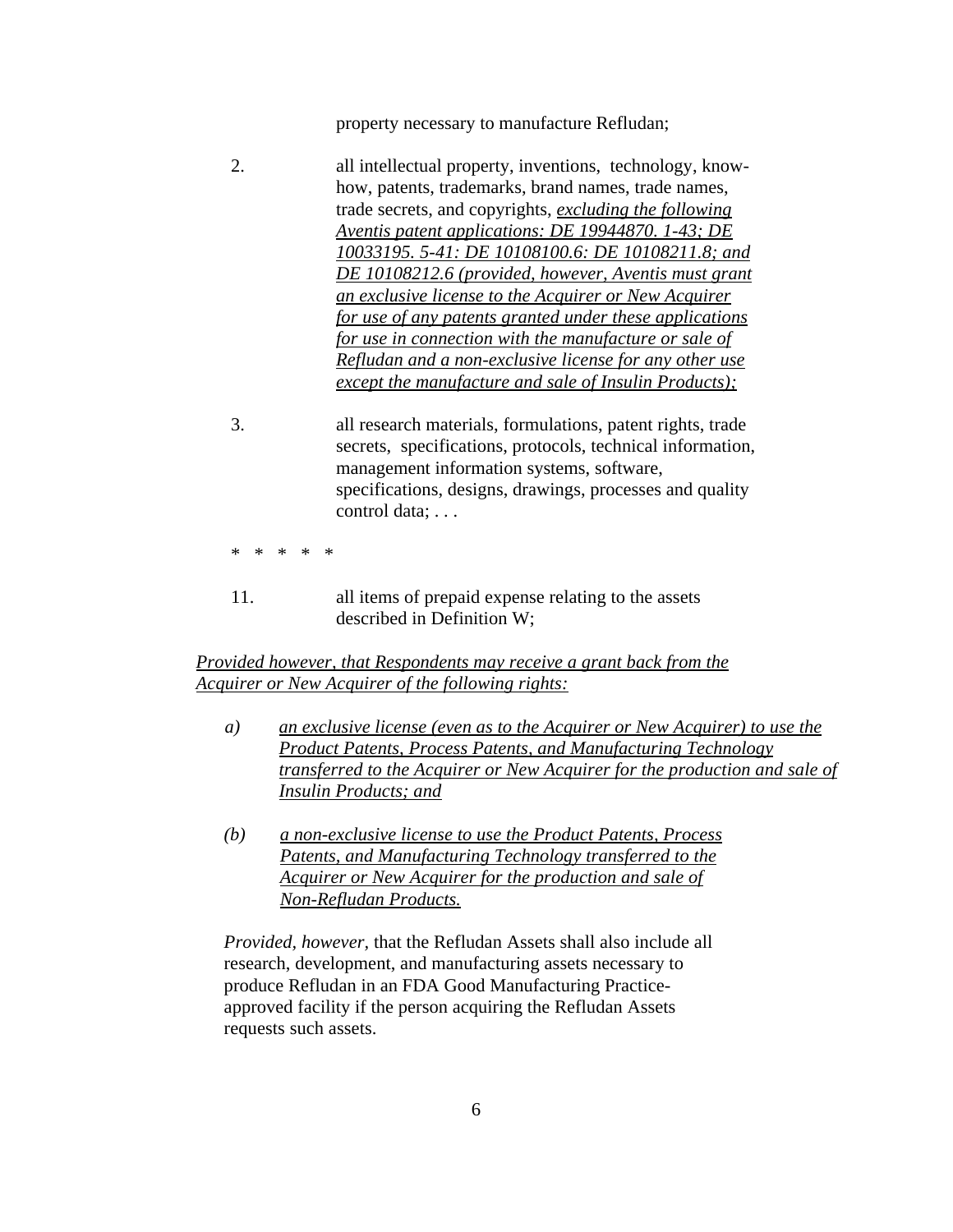property necessary to manufacture Refludan;

- 2. all intellectual property, inventions, technology, knowhow, patents, trademarks, brand names, trade names, trade secrets, and copyrights, *excluding the following Aventis patent applications: DE 19944870. 1-43; DE 10033195. 5-41: DE 10108100.6: DE 10108211.8; and DE 10108212.6 (provided, however, Aventis must grant an exclusive license to the Acquirer or New Acquirer for use of any patents granted under these applications for use in connection with the manufacture or sale of Refludan and a non-exclusive license for any other use except the manufacture and sale of Insulin Products);*
- 3. all research materials, formulations, patent rights, trade secrets, specifications, protocols, technical information, management information systems, software, specifications, designs, drawings, processes and quality control data; . . .
- \* \* \* \* \*
- 11. all items of prepaid expense relating to the assets described in Definition W;

*Provided however, that Respondents may receive a grant back from the Acquirer or New Acquirer of the following rights:*

- *a) an exclusive license (even as to the Acquirer or New Acquirer) to use the Product Patents, Process Patents, and Manufacturing Technology transferred to the Acquirer or New Acquirer for the production and sale of Insulin Products; and*
- *(b) a non-exclusive license to use the Product Patents, Process Patents, and Manufacturing Technology transferred to the Acquirer or New Acquirer for the production and sale of Non-Refludan Products.*

*Provided, however,* that the Refludan Assets shall also include all research, development, and manufacturing assets necessary to produce Refludan in an FDA Good Manufacturing Practiceapproved facility if the person acquiring the Refludan Assets requests such assets.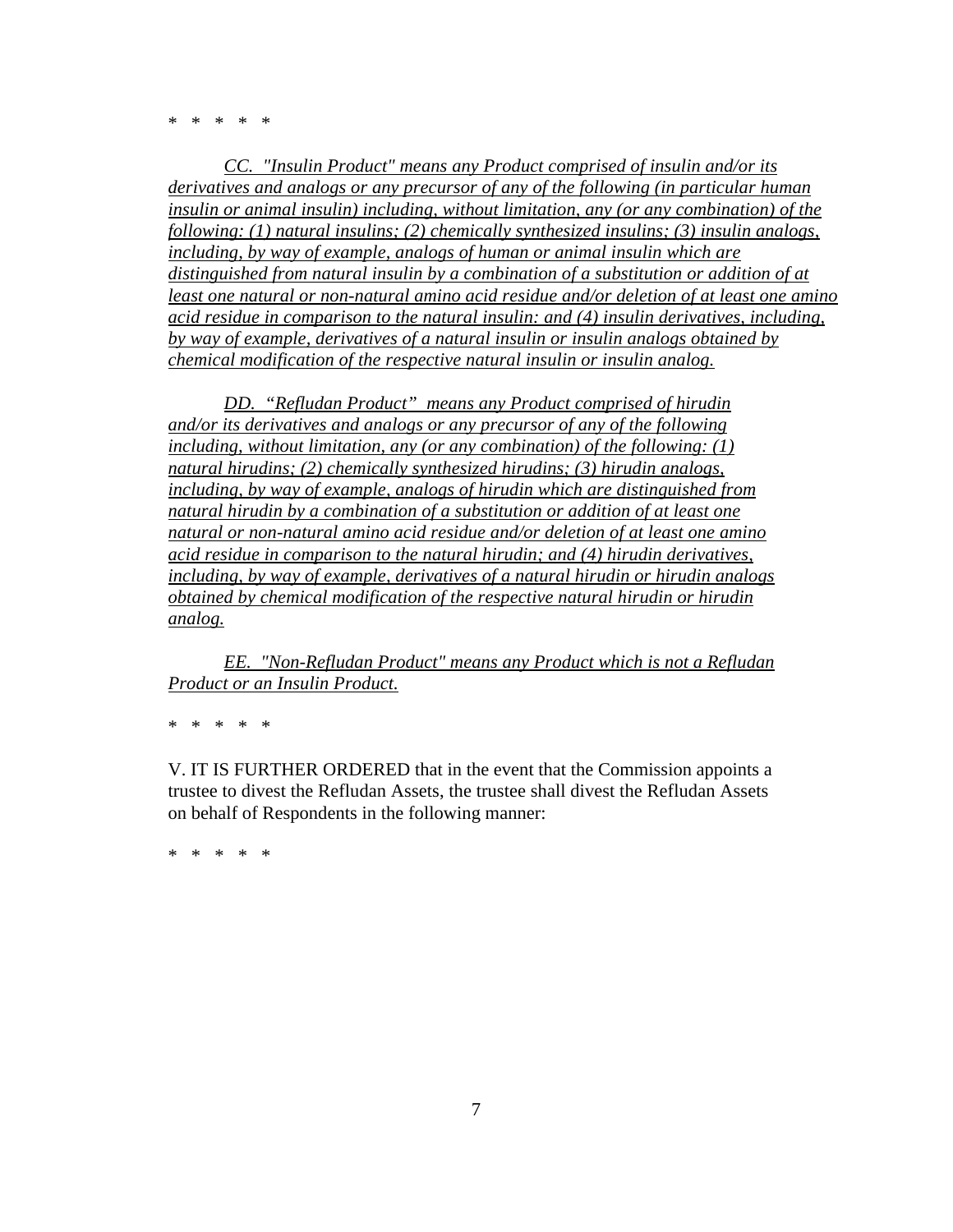\* \* \* \* \*

*CC. "Insulin Product" means any Product comprised of insulin and/or its derivatives and analogs or any precursor of any of the following (in particular human insulin or animal insulin) including, without limitation, any (or any combination) of the following: (1) natural insulins; (2) chemically synthesized insulins; (3) insulin analogs, including, by way of example, analogs of human or animal insulin which are distinguished from natural insulin by a combination of a substitution or addition of at least one natural or non-natural amino acid residue and/or deletion of at least one amino acid residue in comparison to the natural insulin: and (4) insulin derivatives, including, by way of example, derivatives of a natural insulin or insulin analogs obtained by chemical modification of the respective natural insulin or insulin analog.*

*DD. "Refludan Product" means any Product comprised of hirudin and/or its derivatives and analogs or any precursor of any of the following including, without limitation, any (or any combination) of the following: (1) natural hirudins; (2) chemically synthesized hirudins; (3) hirudin analogs, including, by way of example, analogs of hirudin which are distinguished from natural hirudin by a combination of a substitution or addition of at least one natural or non-natural amino acid residue and/or deletion of at least one amino acid residue in comparison to the natural hirudin; and (4) hirudin derivatives, including, by way of example, derivatives of a natural hirudin or hirudin analogs obtained by chemical modification of the respective natural hirudin or hirudin analog.*

*EE. "Non-Refludan Product" means any Product which is not a Refludan Product or an Insulin Product.*

\* \* \* \* \*

V. IT IS FURTHER ORDERED that in the event that the Commission appoints a trustee to divest the Refludan Assets, the trustee shall divest the Refludan Assets on behalf of Respondents in the following manner:

\* \* \* \* \*